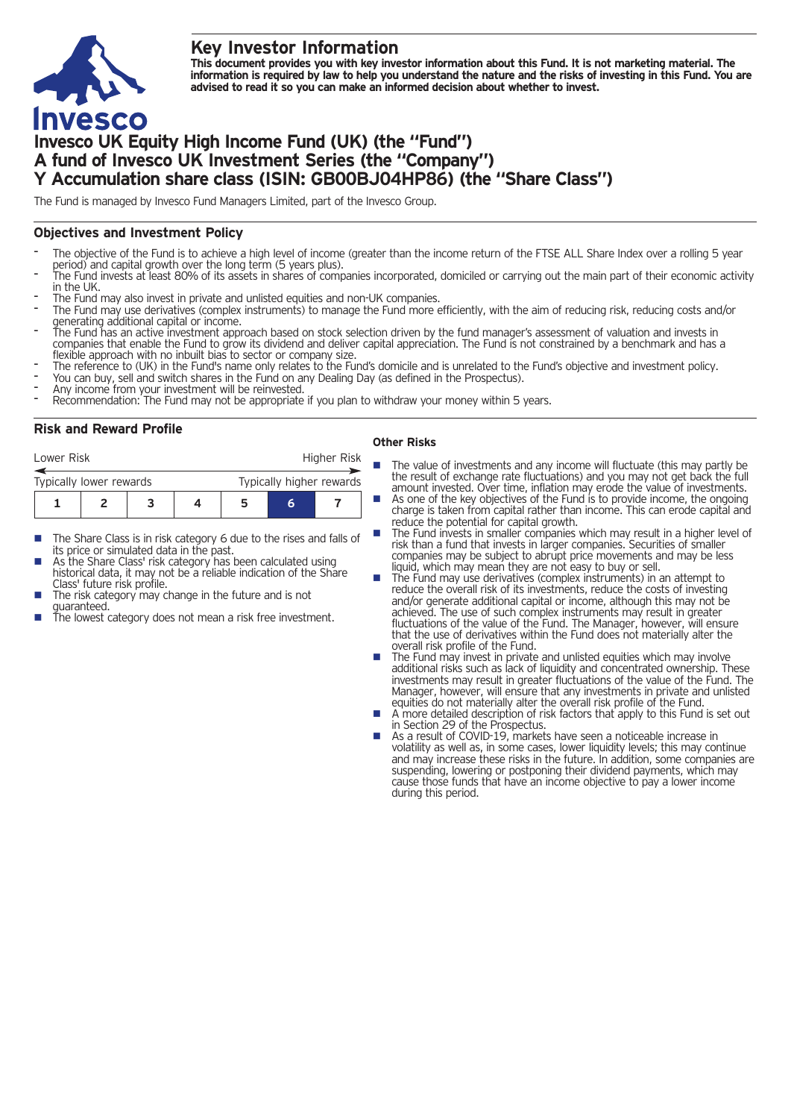## **Key Investor Information**



# **Invesco UK Equity High Income Fund (UK) (the "Fund") A fund of Invesco UK Investment Series (the "Company") Y Accumulation share class (ISIN: GB00BJ04HP86) (the "Share Class")**

The Fund is managed by Invesco Fund Managers Limited, part of the Invesco Group.

## **Objectives and Investment Policy**

- The objective of the Fund is to achieve a high level of income (greater than the income return of the FTSE ALL Share Index over a rolling 5 year
- period) and capital growth over the long term (5 years plus).<br>The Fund invests at least 80% of its assets in shares of companies incorporated, domiciled or carrying out the main part of their economic activity<br>in the UK.
- 
- The Fund may also invest in private and unlisted equities and non-UK companies.<br>The Fund may use derivatives (complex instruments) to manage the Fund more efficiently, with the aim of reducing risk, reducing costs and/or
- me Fund has an active investment approach based on stock selection driven by the fund manager's assessment of valuation and invests in<br>The Fund has an active investment approach based on stock selection driven by the fund companies that enable the Fund to grow its dividend and deliver capital appreciation. The Fund is not constrained by a benchmark and has a
- Fiexible approach with no inbuilt bias to sector or company size.<br>The reference to (UK) in the Fund's name only relates to the Fund's domicile and is unrelated to the Fund's objective and investment policy.<br>The reference t
- 
- 

## **Risk and Reward Profile**

| Lower Risk              |  |  |  | <b>Higher Risk</b>       |  |  |  |
|-------------------------|--|--|--|--------------------------|--|--|--|
| Typically lower rewards |  |  |  | Typically higher rewards |  |  |  |
|                         |  |  |  | h                        |  |  |  |

- The Share Class is in risk category 6 due to the rises and falls of its price or simulated data in the past.
- As the Share Class' risk category has been calculated using. historical data, it may not be a reliable indication of the Share<br>Class' future risk profile.
- The risk category may change in the future and is not
- guaranteed. The lowest category does not mean a risk free investment.

#### **Other Risks**

- $\blacksquare$  The value of investments and any income will fluctuate (this may partly be the result of exchange rate fluctuations) and you may not get back the full amount invested. Over time, inflation may erode the value of investments.
	- As one of the key objectives of the Fund is to provide income, the ongoing charge is taken from capital rather than income. This can erode capital and
	- The Fund invests in smaller companies which may result in a higher level of risk than a fund that invests in larger companies. Securities of smaller companies may be subject to abrupt price movements and may be less liquid, which may mean they are not easy to buy or sell.
- The Fund may use derivatives (complex instruments) in an attempt to reduce the overall risk of its investments, reduce the costs of investing and/or generate additional capital or income, although this may not be achieved. The use of such complex instruments may result in greater fluctuations of the value of the Fund. The Manager, however, will ensure that the use of derivatives within the Fund does not materially alter the
- overall risk profile of the Fund. <br>The Fund may invest in private and unlisted equities which may involve additional risks such as lack of liquidity and concentrated ownership. These investments may result in greater fluctuations of the value of the Fund. The Manager, however, will ensure that any investments in private and unlisted
- equities do not materially alter the overall risk profile of the Fund. <br>A more detailed description of risk factors that apply to this Fund is set out A more detailed description of risk factors that apply to this Fund is set out<br>in Section 29 of the Prospectus.<br>As a result of COVID-19, markets have seen a noticeable increase in
- volatility as well as, in some cases, lower liquidity levels; this may continue and may increase these risks in the future. In addition, some companies are suspending, lowering or postponing their dividend payments, which may cause those funds that have an income objective to pay a lower income during this period.